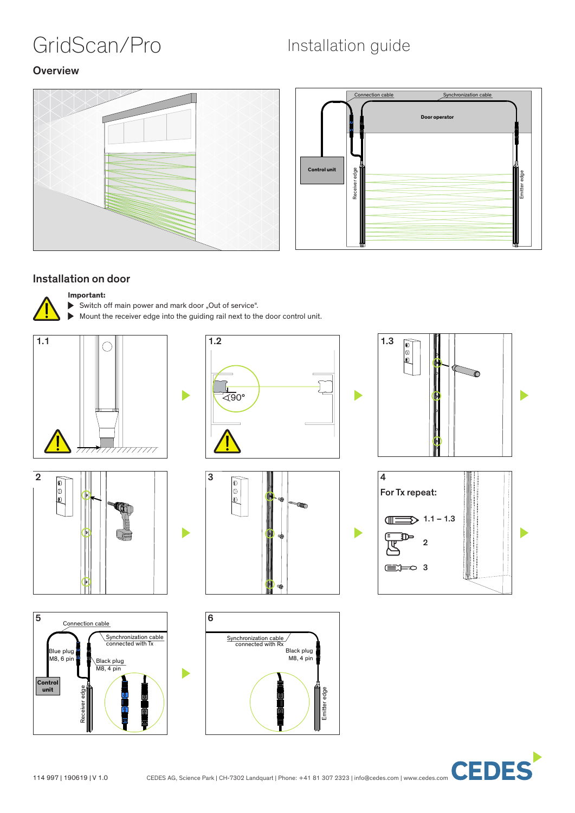# GridScan/Pro Installation guide

ħ

#### **Overview**





#### Installation on door

#### **Important:**

- Switch off main power and mark door "Out of service".
- Mount the receiver edge into the guiding rail next to the door control unit.

D















**CEDES**